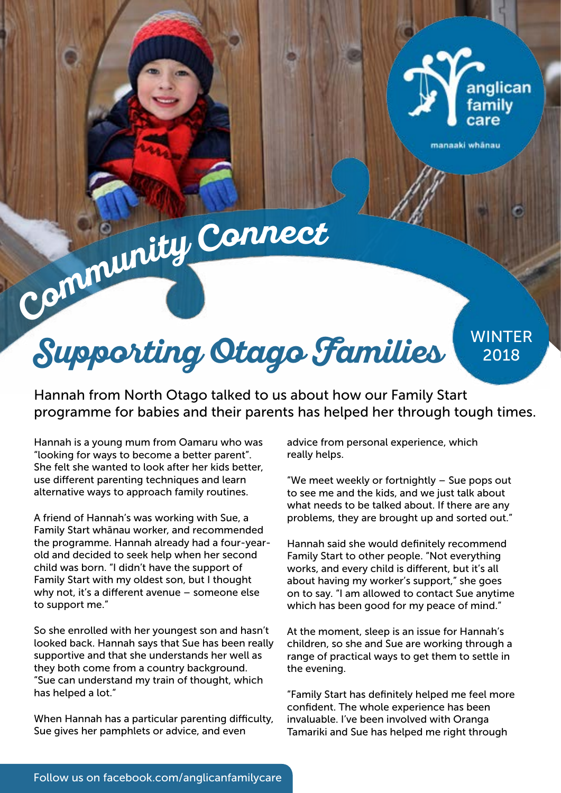

manaaki whānau

**Communit<sup>y</sup> <sup>C</sup>onnec<sup>t</sup>**

**Supporting Otago Families** 2018

Hannah from North Otago talked to us about how our Family Start programme for babies and their parents has helped her through tough times.

Hannah is a young mum from Oamaru who was "looking for ways to become a better parent". She felt she wanted to look after her kids better, use different parenting techniques and learn alternative ways to approach family routines.

A friend of Hannah's was working with Sue, a Family Start whānau worker, and recommended the programme. Hannah already had a four-yearold and decided to seek help when her second child was born. "I didn't have the support of Family Start with my oldest son, but I thought why not, it's a different avenue – someone else to support me."

So she enrolled with her youngest son and hasn't looked back. Hannah says that Sue has been really supportive and that she understands her well as they both come from a country background. "Sue can understand my train of thought, which has helped a lot."

When Hannah has a particular parenting difficulty, Sue gives her pamphlets or advice, and even

advice from personal experience, which really helps.

"We meet weekly or fortnightly – Sue pops out to see me and the kids, and we just talk about what needs to be talked about. If there are any problems, they are brought up and sorted out."

Hannah said she would definitely recommend Family Start to other people. "Not everything works, and every child is different, but it's all about having my worker's support," she goes on to say. "I am allowed to contact Sue anytime which has been good for my peace of mind."

At the moment, sleep is an issue for Hannah's children, so she and Sue are working through a range of practical ways to get them to settle in the evening.

"Family Start has definitely helped me feel more confident. The whole experience has been invaluable. I've been involved with Oranga Tamariki and Sue has helped me right through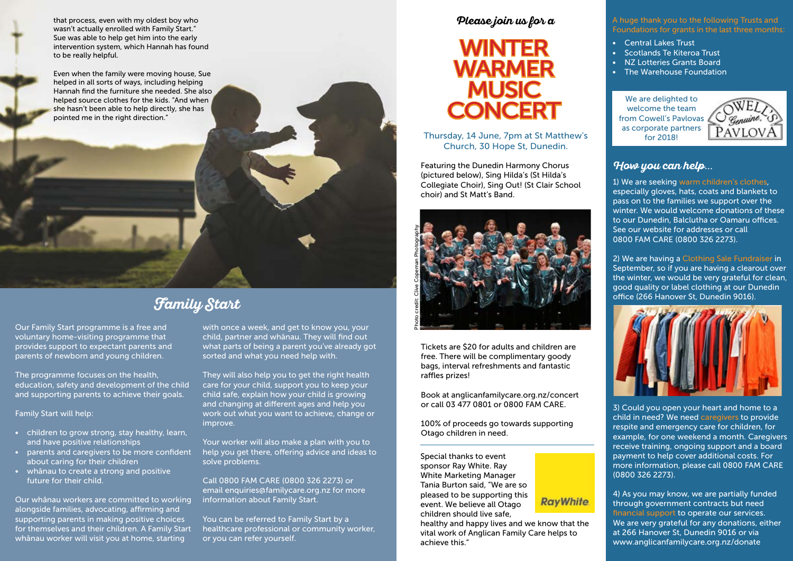# **Please join us for a**



Special thanks to event sponsor Ray White. Ray White Marketing Manager Tania Burton said, "We are so pleased to be supporting this event. We believe all Otago children should live safe,



healthy and happy lives and we know that the vital work of Anglican Family Care helps to achieve this."

Thursday, 14 June, 7pm at St Matthew's Church, 30 Hope St, Dunedin.

Featuring the Dunedin Harmony Chorus (pictured below), Sing Hilda's (St Hilda's Collegiate Choir), Sing Out! (St Clair School choir) and St Matt's Band.



Tickets are \$20 for adults and children are free. There will be complimentary goody bags, interval refreshments and fantastic raffles prizes!

Book at anglicanfamilycare.org.nz/concert or call 03 477 0801 or 0800 FAM CARE.

100% of proceeds go towards supporting Otago children in need.

### A huge thank you to the following Trusts and Foundations for grants in the last three months:

- Central Lakes Trust
- Scotlands Te Kiteroa Trust
- NZ Lotteries Grants Board
- The Warehouse Foundation

that process, even with my oldest boy who wasn't actually enrolled with Family Start." Sue was able to help get him into the early intervention system, which Hannah has found to be really helpful.

Even when the family were moving house, Sue helped in all sorts of ways, including helping Hannah find the furniture she needed. She also helped source clothes for the kids. "And when she hasn't been able to help directly, she has pointed me in the right direction."

> You can be referred to Family Start by a healthcare professional or community worker, or you can refer yourself.

Our Family Start programme is a free and voluntary home-visiting programme that provides support to expectant parents and parents of newborn and young children.

The programme focuses on the health, education, safety and development of the child and supporting parents to achieve their goals.

Family Start will help:

- children to grow strong, stay healthy, learn, and have positive relationships
- parents and caregivers to be more confident about caring for their children
- whānau to create a strong and positive future for their child.

We are delighted to welcome the team from Cowell's Pavlovas as corporate partners for 2018!



Our whānau workers are committed to working alongside families, advocating, affirming and supporting parents in making positive choices for themselves and their children. A Family Start whānau worker will visit you at home, starting

with once a week, and get to know you, your child, partner and whānau. They will find out what parts of being a parent you've already got sorted and what you need help with.

They will also help you to get the right health care for your child, support you to keep your child safe, explain how your child is growing and changing at different ages and help you work out what you want to achieve, change or improve.

Your worker will also make a plan with you to help you get there, offering advice and ideas to solve problems.

Call 0800 FAM CARE (0800 326 2273) or email enquiries@familycare.org.nz for more information about Family Start.

# **Family Start**

### **How you can help**...

1) We are seeking warm children's clothes, especially gloves, hats, coats and blankets to pass on to the families we support over the winter. We would welcome donations of these to our Dunedin, Balclutha or Oamaru offices. See our website for addresses or call 0800 FAM CARE (0800 326 2273).

2) We are having a Clothing Sale Fundraiser in September, so if you are having a clearout over the winter, we would be very grateful for clean, good quality or label clothing at our Dunedin office (266 Hanover St, Dunedin 9016).



3) Could you open your heart and home to a child in need? We need caregivers to provide respite and emergency care for children, for example, for one weekend a month. Caregivers receive training, ongoing support and a board payment to help cover additional costs. For more information, please call 0800 FAM CARE (0800 326 2273).

4) As you may know, we are partially funded through government contracts but need financial support to operate our services. We are very grateful for any donations, either at 266 Hanover St, Dunedin 9016 or via www.anglicanfamilycare.org.nz/donate